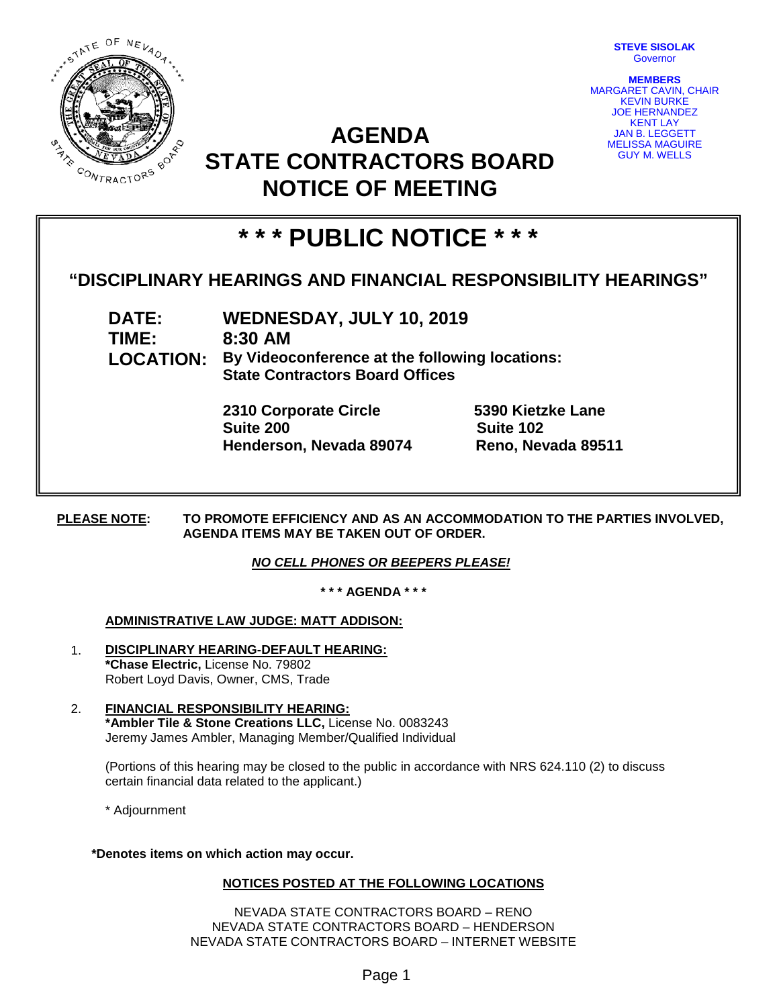

**STEVE SISOLAK** Governor

**MEMBERS** MARGARET CAVIN, CHAIR KEVIN BURKE JOE HERNANDEZ KENT LAY JAN B. LEGGETT MELISSA MAGUIRE GUY M. WELLS

## **AGENDA STATE CONTRACTORS BOARD NOTICE OF MEETING**

# **\* \* \* PUBLIC NOTICE \* \* \***

### **"DISCIPLINARY HEARINGS AND FINANCIAL RESPONSIBILITY HEARINGS"**

**DATE: WEDNESDAY, JULY 10, 2019 TIME: 8:30 AM LOCATION: By Videoconference at the following locations: State Contractors Board Offices**

> **2310 Corporate Circle 5390 Kietzke Lane Suite 200 Suite 102 Henderson, Nevada 89074 Reno, Nevada 89511**

**PLEASE NOTE: TO PROMOTE EFFICIENCY AND AS AN ACCOMMODATION TO THE PARTIES INVOLVED, AGENDA ITEMS MAY BE TAKEN OUT OF ORDER.**

#### *NO CELL PHONES OR BEEPERS PLEASE!*

**\* \* \* AGENDA \* \* \***

#### **ADMINISTRATIVE LAW JUDGE: MATT ADDISON:**

- 1. **DISCIPLINARY HEARING-DEFAULT HEARING: \*Chase Electric,** License No. 79802 Robert Loyd Davis, Owner, CMS, Trade
- 2. **FINANCIAL RESPONSIBILITY HEARING: \*Ambler Tile & Stone Creations LLC,** License No. 0083243 Jeremy James Ambler, Managing Member/Qualified Individual

(Portions of this hearing may be closed to the public in accordance with NRS 624.110 (2) to discuss certain financial data related to the applicant.)

\* Adjournment

**\*Denotes items on which action may occur.**

#### **NOTICES POSTED AT THE FOLLOWING LOCATIONS**

NEVADA STATE CONTRACTORS BOARD – RENO NEVADA STATE CONTRACTORS BOARD – HENDERSON NEVADA STATE CONTRACTORS BOARD – INTERNET WEBSITE

Page 1